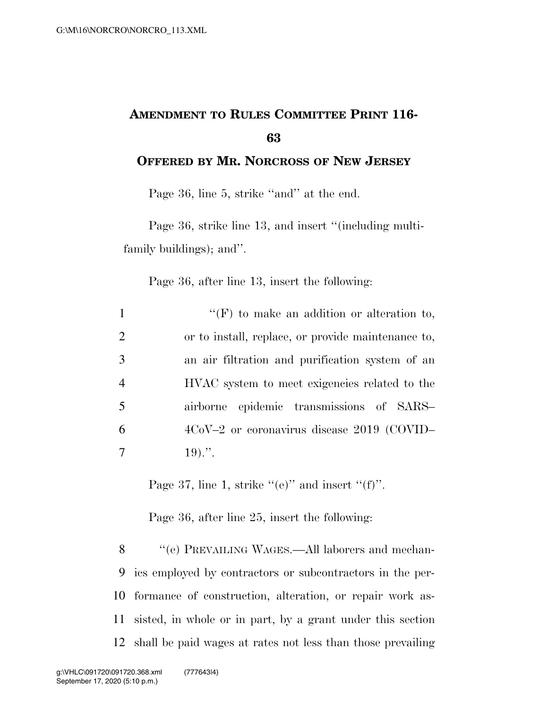## **AMENDMENT TO RULES COMMITTEE PRINT 116- 63**

**OFFERED BY MR. NORCROSS OF NEW JERSEY**

Page 36, line 5, strike ''and'' at the end.

Page 36, strike line 13, and insert "(including multifamily buildings); and''.

Page 36, after line 13, insert the following:

| $\mathbf{1}$   | $\lq\lq(F)$ to make an addition or alteration to,  |
|----------------|----------------------------------------------------|
| 2              | or to install, replace, or provide maintenance to, |
| 3              | an air filtration and purification system of an    |
| $\overline{4}$ | HVAC system to meet exigencies related to the      |
| 5              | airborne epidemic transmissions of SARS-           |
| 6              | $4CoV-2$ or coronavirus disease 2019 (COVID-       |
| 7              | $19)$                                              |

Page 37, line 1, strike  $((e)$ " and insert  $((f)$ ".

Page 36, after line 25, insert the following:

8 "'(e) PREVAILING WAGES.—All laborers and mechan- ics employed by contractors or subcontractors in the per- formance of construction, alteration, or repair work as- sisted, in whole or in part, by a grant under this section shall be paid wages at rates not less than those prevailing